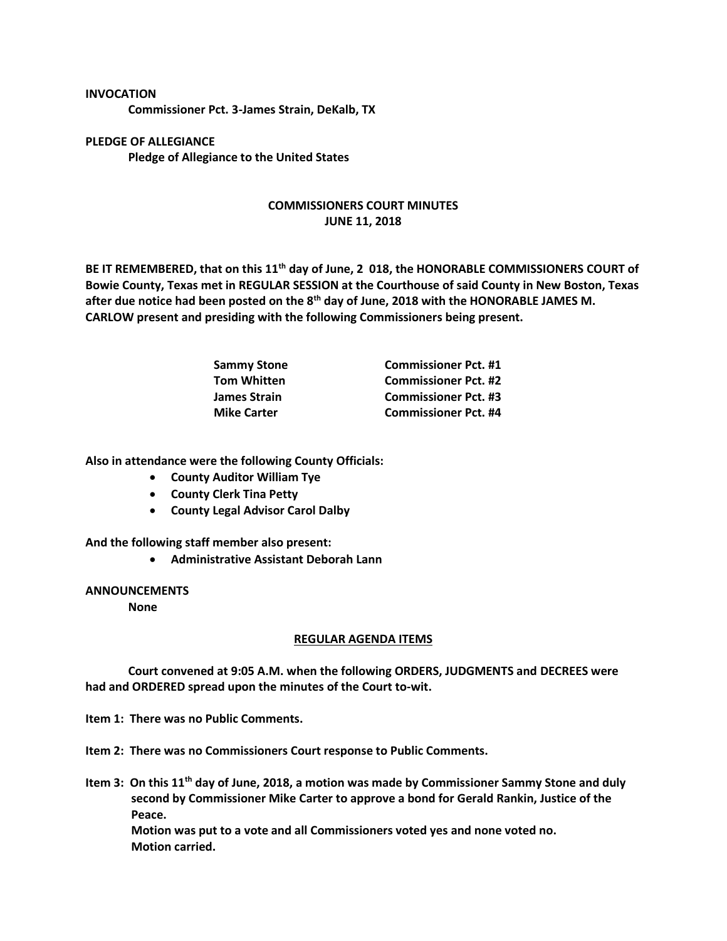## **INVOCATION**

**Commissioner Pct. 3-James Strain, DeKalb, TX**

**PLEDGE OF ALLEGIANCE Pledge of Allegiance to the United States**

## **COMMISSIONERS COURT MINUTES JUNE 11, 2018**

**BE IT REMEMBERED, that on this 11th day of June, 2 018, the HONORABLE COMMISSIONERS COURT of Bowie County, Texas met in REGULAR SESSION at the Courthouse of said County in New Boston, Texas after due notice had been posted on the 8th day of June, 2018 with the HONORABLE JAMES M. CARLOW present and presiding with the following Commissioners being present.**

| <b>Sammy Stone</b>  | <b>Commissioner Pct. #1</b> |
|---------------------|-----------------------------|
| <b>Tom Whitten</b>  | <b>Commissioner Pct. #2</b> |
| <b>James Strain</b> | <b>Commissioner Pct. #3</b> |
| <b>Mike Carter</b>  | <b>Commissioner Pct. #4</b> |

**Also in attendance were the following County Officials:**

- **County Auditor William Tye**
- **County Clerk Tina Petty**
- **County Legal Advisor Carol Dalby**

**And the following staff member also present:**

• **Administrative Assistant Deborah Lann**

## **ANNOUNCEMENTS**

**None**

## **REGULAR AGENDA ITEMS**

**Court convened at 9:05 A.M. when the following ORDERS, JUDGMENTS and DECREES were had and ORDERED spread upon the minutes of the Court to-wit.**

**Item 1: There was no Public Comments.**

**Item 2: There was no Commissioners Court response to Public Comments.**

**Item 3: On this 11th day of June, 2018, a motion was made by Commissioner Sammy Stone and duly second by Commissioner Mike Carter to approve a bond for Gerald Rankin, Justice of the Peace. Motion was put to a vote and all Commissioners voted yes and none voted no. Motion carried.**